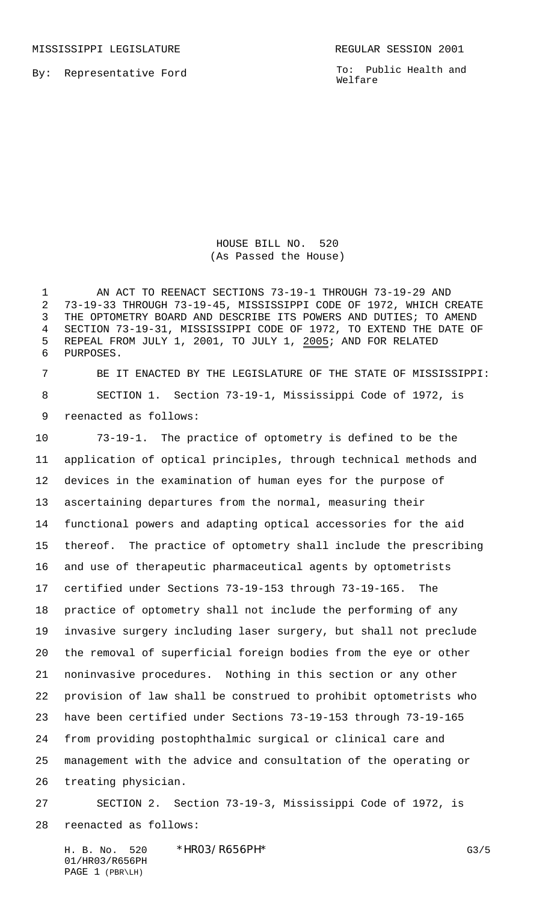By: Representative Ford

MISSISSIPPI LEGISLATURE **REGULAR SESSION 2001** 

To: Public Health and Welfare

HOUSE BILL NO. 520 (As Passed the House)

1 AN ACT TO REENACT SECTIONS 73-19-1 THROUGH 73-19-29 AND 73-19-33 THROUGH 73-19-45, MISSISSIPPI CODE OF 1972, WHICH CREATE THE OPTOMETRY BOARD AND DESCRIBE ITS POWERS AND DUTIES; TO AMEND SECTION 73-19-31, MISSISSIPPI CODE OF 1972, TO EXTEND THE DATE OF REPEAL FROM JULY 1, 2001, TO JULY 1, 2005; AND FOR RELATED PURPOSES.

 BE IT ENACTED BY THE LEGISLATURE OF THE STATE OF MISSISSIPPI: SECTION 1. Section 73-19-1, Mississippi Code of 1972, is reenacted as follows:

 73-19-1. The practice of optometry is defined to be the application of optical principles, through technical methods and devices in the examination of human eyes for the purpose of ascertaining departures from the normal, measuring their functional powers and adapting optical accessories for the aid thereof. The practice of optometry shall include the prescribing and use of therapeutic pharmaceutical agents by optometrists certified under Sections 73-19-153 through 73-19-165. The practice of optometry shall not include the performing of any invasive surgery including laser surgery, but shall not preclude the removal of superficial foreign bodies from the eye or other noninvasive procedures. Nothing in this section or any other provision of law shall be construed to prohibit optometrists who have been certified under Sections 73-19-153 through 73-19-165 from providing postophthalmic surgical or clinical care and management with the advice and consultation of the operating or treating physician.

 SECTION 2. Section 73-19-3, Mississippi Code of 1972, is reenacted as follows:

H. B. No. 520 \*HRO3/R656PH\* G3/5 01/HR03/R656PH PAGE 1 (PBR\LH)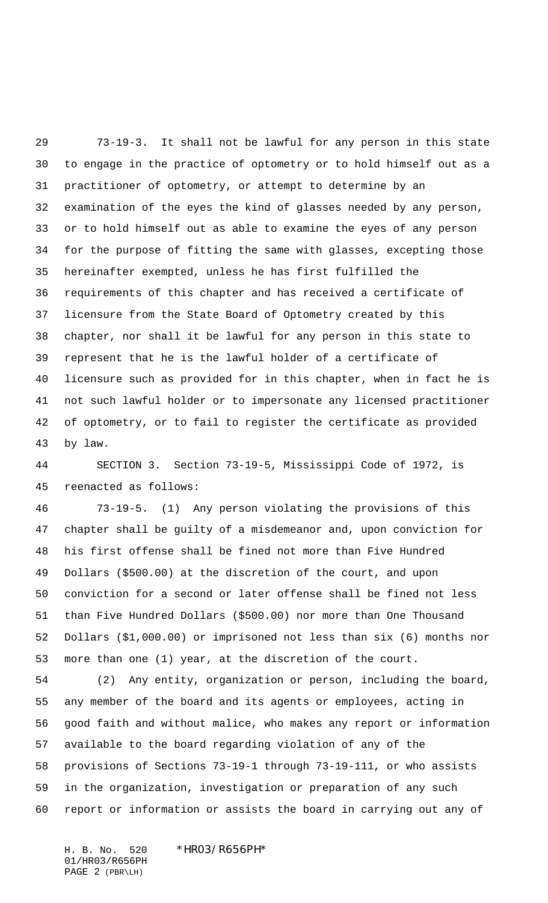73-19-3. It shall not be lawful for any person in this state to engage in the practice of optometry or to hold himself out as a practitioner of optometry, or attempt to determine by an examination of the eyes the kind of glasses needed by any person, or to hold himself out as able to examine the eyes of any person for the purpose of fitting the same with glasses, excepting those hereinafter exempted, unless he has first fulfilled the requirements of this chapter and has received a certificate of licensure from the State Board of Optometry created by this chapter, nor shall it be lawful for any person in this state to represent that he is the lawful holder of a certificate of licensure such as provided for in this chapter, when in fact he is not such lawful holder or to impersonate any licensed practitioner of optometry, or to fail to register the certificate as provided by law.

 SECTION 3. Section 73-19-5, Mississippi Code of 1972, is reenacted as follows:

 73-19-5. (1) Any person violating the provisions of this chapter shall be guilty of a misdemeanor and, upon conviction for his first offense shall be fined not more than Five Hundred Dollars (\$500.00) at the discretion of the court, and upon conviction for a second or later offense shall be fined not less than Five Hundred Dollars (\$500.00) nor more than One Thousand Dollars (\$1,000.00) or imprisoned not less than six (6) months nor more than one (1) year, at the discretion of the court.

 (2) Any entity, organization or person, including the board, any member of the board and its agents or employees, acting in good faith and without malice, who makes any report or information available to the board regarding violation of any of the provisions of Sections 73-19-1 through 73-19-111, or who assists in the organization, investigation or preparation of any such report or information or assists the board in carrying out any of

H. B. No. 520 \*HR03/R656PH\* 01/HR03/R656PH PAGE 2 (PBR\LH)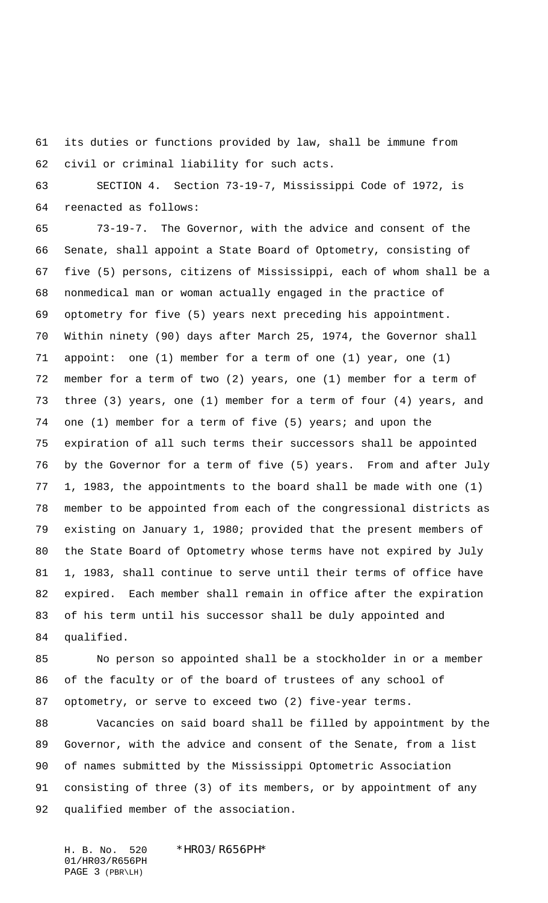its duties or functions provided by law, shall be immune from civil or criminal liability for such acts.

 SECTION 4. Section 73-19-7, Mississippi Code of 1972, is reenacted as follows:

 73-19-7. The Governor, with the advice and consent of the Senate, shall appoint a State Board of Optometry, consisting of five (5) persons, citizens of Mississippi, each of whom shall be a nonmedical man or woman actually engaged in the practice of optometry for five (5) years next preceding his appointment. Within ninety (90) days after March 25, 1974, the Governor shall appoint: one (1) member for a term of one (1) year, one (1) member for a term of two (2) years, one (1) member for a term of three (3) years, one (1) member for a term of four (4) years, and one (1) member for a term of five (5) years; and upon the expiration of all such terms their successors shall be appointed by the Governor for a term of five (5) years. From and after July 1, 1983, the appointments to the board shall be made with one (1) member to be appointed from each of the congressional districts as existing on January 1, 1980; provided that the present members of the State Board of Optometry whose terms have not expired by July 1, 1983, shall continue to serve until their terms of office have expired. Each member shall remain in office after the expiration of his term until his successor shall be duly appointed and qualified.

 No person so appointed shall be a stockholder in or a member of the faculty or of the board of trustees of any school of optometry, or serve to exceed two (2) five-year terms.

 Vacancies on said board shall be filled by appointment by the Governor, with the advice and consent of the Senate, from a list of names submitted by the Mississippi Optometric Association consisting of three (3) of its members, or by appointment of any qualified member of the association.

H. B. No. 520 \*HR03/R656PH\* 01/HR03/R656PH PAGE 3 (PBR\LH)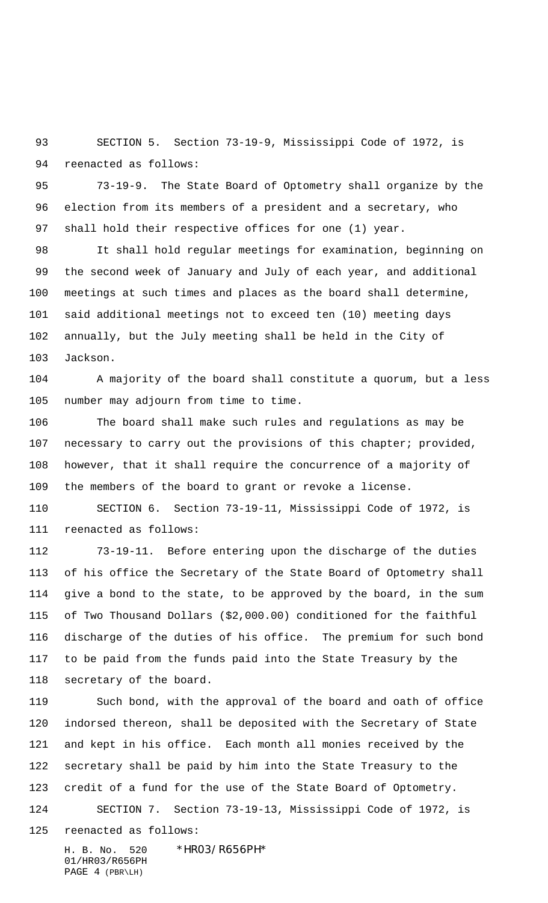SECTION 5. Section 73-19-9, Mississippi Code of 1972, is reenacted as follows:

 73-19-9. The State Board of Optometry shall organize by the election from its members of a president and a secretary, who shall hold their respective offices for one (1) year.

 It shall hold regular meetings for examination, beginning on the second week of January and July of each year, and additional meetings at such times and places as the board shall determine, said additional meetings not to exceed ten (10) meeting days annually, but the July meeting shall be held in the City of Jackson.

 A majority of the board shall constitute a quorum, but a less number may adjourn from time to time.

 The board shall make such rules and regulations as may be 107 necessary to carry out the provisions of this chapter; provided, however, that it shall require the concurrence of a majority of the members of the board to grant or revoke a license.

 SECTION 6. Section 73-19-11, Mississippi Code of 1972, is reenacted as follows:

 73-19-11. Before entering upon the discharge of the duties of his office the Secretary of the State Board of Optometry shall give a bond to the state, to be approved by the board, in the sum of Two Thousand Dollars (\$2,000.00) conditioned for the faithful discharge of the duties of his office. The premium for such bond to be paid from the funds paid into the State Treasury by the secretary of the board.

 Such bond, with the approval of the board and oath of office indorsed thereon, shall be deposited with the Secretary of State and kept in his office. Each month all monies received by the secretary shall be paid by him into the State Treasury to the credit of a fund for the use of the State Board of Optometry. SECTION 7. Section 73-19-13, Mississippi Code of 1972, is reenacted as follows:

H. B. No. 520 \*HR03/R656PH\* 01/HR03/R656PH PAGE 4 (PBR\LH)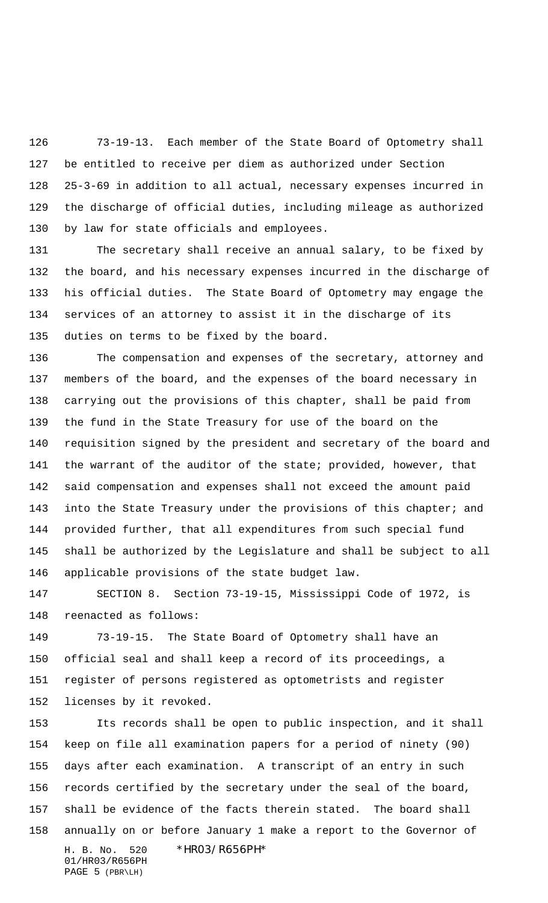73-19-13. Each member of the State Board of Optometry shall be entitled to receive per diem as authorized under Section 25-3-69 in addition to all actual, necessary expenses incurred in the discharge of official duties, including mileage as authorized by law for state officials and employees.

 The secretary shall receive an annual salary, to be fixed by the board, and his necessary expenses incurred in the discharge of his official duties. The State Board of Optometry may engage the services of an attorney to assist it in the discharge of its duties on terms to be fixed by the board.

 The compensation and expenses of the secretary, attorney and members of the board, and the expenses of the board necessary in carrying out the provisions of this chapter, shall be paid from the fund in the State Treasury for use of the board on the requisition signed by the president and secretary of the board and the warrant of the auditor of the state; provided, however, that said compensation and expenses shall not exceed the amount paid 143 into the State Treasury under the provisions of this chapter; and provided further, that all expenditures from such special fund shall be authorized by the Legislature and shall be subject to all applicable provisions of the state budget law.

 SECTION 8. Section 73-19-15, Mississippi Code of 1972, is reenacted as follows:

 73-19-15. The State Board of Optometry shall have an official seal and shall keep a record of its proceedings, a register of persons registered as optometrists and register licenses by it revoked.

H. B. No. 520 \*HR03/R656PH\* 01/HR03/R656PH Its records shall be open to public inspection, and it shall keep on file all examination papers for a period of ninety (90) days after each examination. A transcript of an entry in such records certified by the secretary under the seal of the board, shall be evidence of the facts therein stated. The board shall annually on or before January 1 make a report to the Governor of

PAGE 5 (PBR\LH)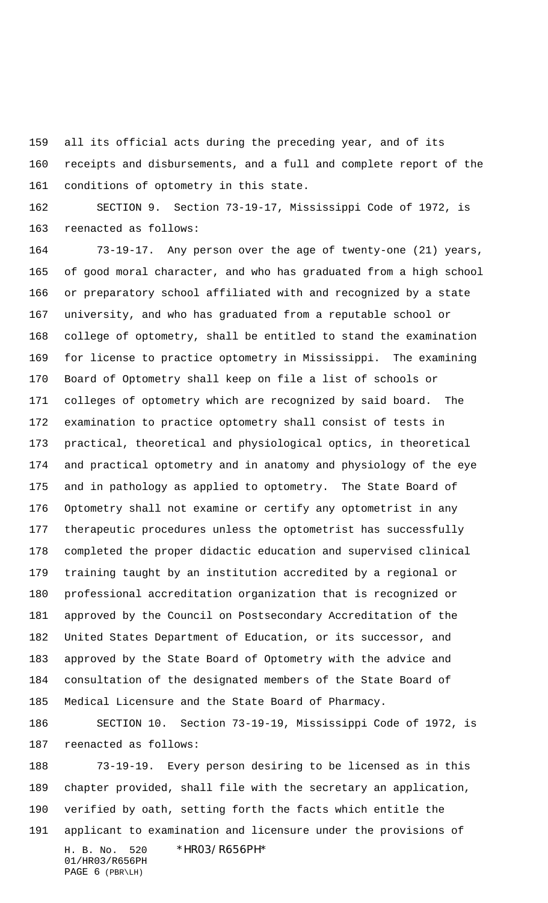all its official acts during the preceding year, and of its receipts and disbursements, and a full and complete report of the

conditions of optometry in this state.

 SECTION 9. Section 73-19-17, Mississippi Code of 1972, is reenacted as follows:

 73-19-17. Any person over the age of twenty-one (21) years, of good moral character, and who has graduated from a high school or preparatory school affiliated with and recognized by a state university, and who has graduated from a reputable school or college of optometry, shall be entitled to stand the examination for license to practice optometry in Mississippi. The examining Board of Optometry shall keep on file a list of schools or colleges of optometry which are recognized by said board. The examination to practice optometry shall consist of tests in practical, theoretical and physiological optics, in theoretical and practical optometry and in anatomy and physiology of the eye and in pathology as applied to optometry. The State Board of Optometry shall not examine or certify any optometrist in any therapeutic procedures unless the optometrist has successfully completed the proper didactic education and supervised clinical training taught by an institution accredited by a regional or professional accreditation organization that is recognized or approved by the Council on Postsecondary Accreditation of the United States Department of Education, or its successor, and approved by the State Board of Optometry with the advice and consultation of the designated members of the State Board of Medical Licensure and the State Board of Pharmacy.

 SECTION 10. Section 73-19-19, Mississippi Code of 1972, is reenacted as follows:

H. B. No. 520 \*HR03/R656PH\* 01/HR03/R656PH 73-19-19. Every person desiring to be licensed as in this chapter provided, shall file with the secretary an application, verified by oath, setting forth the facts which entitle the applicant to examination and licensure under the provisions of

```
PAGE 6 (PBR\LH)
```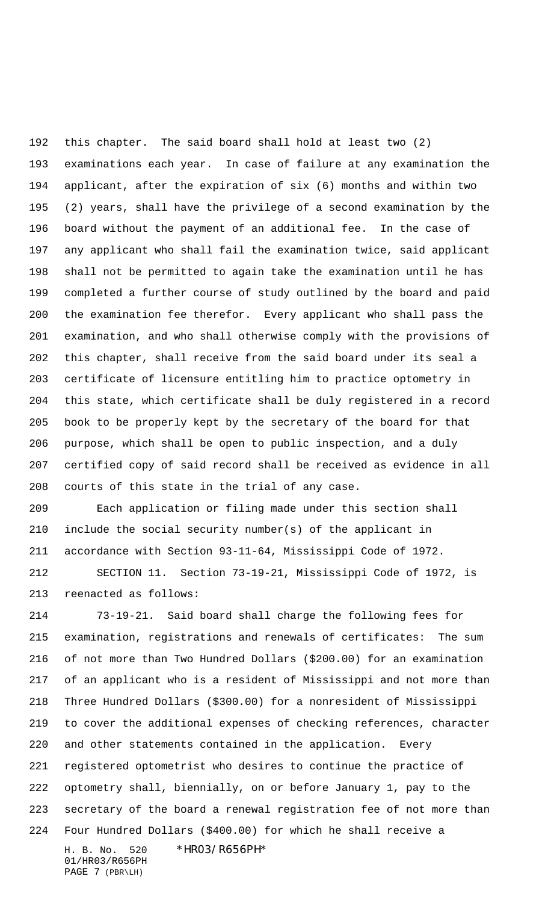this chapter. The said board shall hold at least two (2) examinations each year. In case of failure at any examination the applicant, after the expiration of six (6) months and within two (2) years, shall have the privilege of a second examination by the board without the payment of an additional fee. In the case of any applicant who shall fail the examination twice, said applicant shall not be permitted to again take the examination until he has completed a further course of study outlined by the board and paid the examination fee therefor. Every applicant who shall pass the examination, and who shall otherwise comply with the provisions of this chapter, shall receive from the said board under its seal a certificate of licensure entitling him to practice optometry in this state, which certificate shall be duly registered in a record book to be properly kept by the secretary of the board for that purpose, which shall be open to public inspection, and a duly certified copy of said record shall be received as evidence in all courts of this state in the trial of any case.

 Each application or filing made under this section shall include the social security number(s) of the applicant in accordance with Section 93-11-64, Mississippi Code of 1972.

 SECTION 11. Section 73-19-21, Mississippi Code of 1972, is reenacted as follows:

H. B. No. 520 \*HR03/R656PH\* 01/HR03/R656PH 73-19-21. Said board shall charge the following fees for examination, registrations and renewals of certificates: The sum of not more than Two Hundred Dollars (\$200.00) for an examination of an applicant who is a resident of Mississippi and not more than Three Hundred Dollars (\$300.00) for a nonresident of Mississippi to cover the additional expenses of checking references, character and other statements contained in the application. Every registered optometrist who desires to continue the practice of optometry shall, biennially, on or before January 1, pay to the secretary of the board a renewal registration fee of not more than Four Hundred Dollars (\$400.00) for which he shall receive a

PAGE 7 (PBR\LH)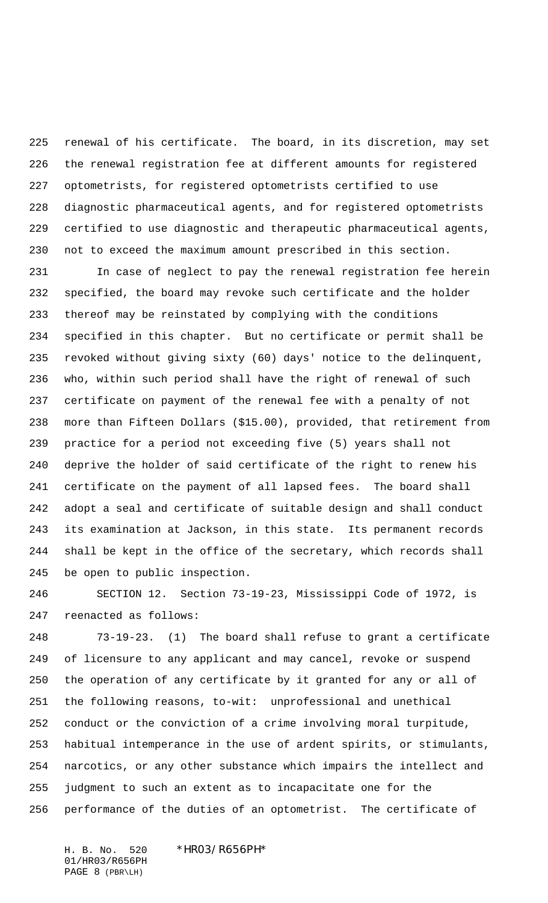renewal of his certificate. The board, in its discretion, may set the renewal registration fee at different amounts for registered optometrists, for registered optometrists certified to use diagnostic pharmaceutical agents, and for registered optometrists certified to use diagnostic and therapeutic pharmaceutical agents, not to exceed the maximum amount prescribed in this section.

 In case of neglect to pay the renewal registration fee herein specified, the board may revoke such certificate and the holder thereof may be reinstated by complying with the conditions specified in this chapter. But no certificate or permit shall be revoked without giving sixty (60) days' notice to the delinquent, who, within such period shall have the right of renewal of such certificate on payment of the renewal fee with a penalty of not more than Fifteen Dollars (\$15.00), provided, that retirement from practice for a period not exceeding five (5) years shall not deprive the holder of said certificate of the right to renew his certificate on the payment of all lapsed fees. The board shall adopt a seal and certificate of suitable design and shall conduct its examination at Jackson, in this state. Its permanent records shall be kept in the office of the secretary, which records shall be open to public inspection.

 SECTION 12. Section 73-19-23, Mississippi Code of 1972, is reenacted as follows:

 73-19-23. (1) The board shall refuse to grant a certificate of licensure to any applicant and may cancel, revoke or suspend the operation of any certificate by it granted for any or all of the following reasons, to-wit: unprofessional and unethical conduct or the conviction of a crime involving moral turpitude, habitual intemperance in the use of ardent spirits, or stimulants, narcotics, or any other substance which impairs the intellect and judgment to such an extent as to incapacitate one for the performance of the duties of an optometrist. The certificate of

H. B. No. 520 \*HR03/R656PH\* 01/HR03/R656PH PAGE 8 (PBR\LH)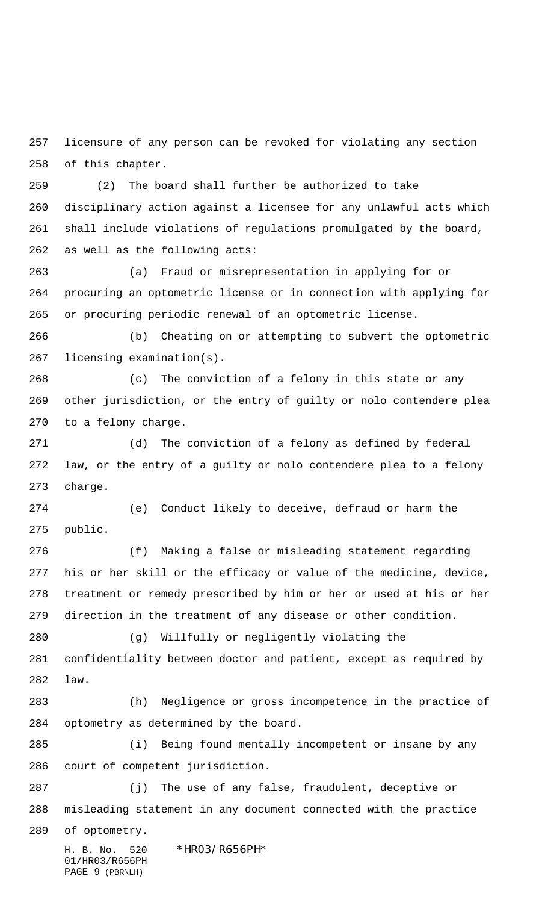licensure of any person can be revoked for violating any section of this chapter.

 (2) The board shall further be authorized to take disciplinary action against a licensee for any unlawful acts which shall include violations of regulations promulgated by the board, as well as the following acts:

 (a) Fraud or misrepresentation in applying for or procuring an optometric license or in connection with applying for or procuring periodic renewal of an optometric license.

 (b) Cheating on or attempting to subvert the optometric licensing examination(s).

 (c) The conviction of a felony in this state or any other jurisdiction, or the entry of guilty or nolo contendere plea to a felony charge.

 (d) The conviction of a felony as defined by federal law, or the entry of a guilty or nolo contendere plea to a felony charge.

 (e) Conduct likely to deceive, defraud or harm the public.

 (f) Making a false or misleading statement regarding his or her skill or the efficacy or value of the medicine, device, treatment or remedy prescribed by him or her or used at his or her direction in the treatment of any disease or other condition.

 (g) Willfully or negligently violating the confidentiality between doctor and patient, except as required by law.

 (h) Negligence or gross incompetence in the practice of optometry as determined by the board.

 (i) Being found mentally incompetent or insane by any court of competent jurisdiction.

 (j) The use of any false, fraudulent, deceptive or misleading statement in any document connected with the practice

of optometry.

H. B. No. 520 \*HR03/R656PH\* 01/HR03/R656PH PAGE 9 (PBR\LH)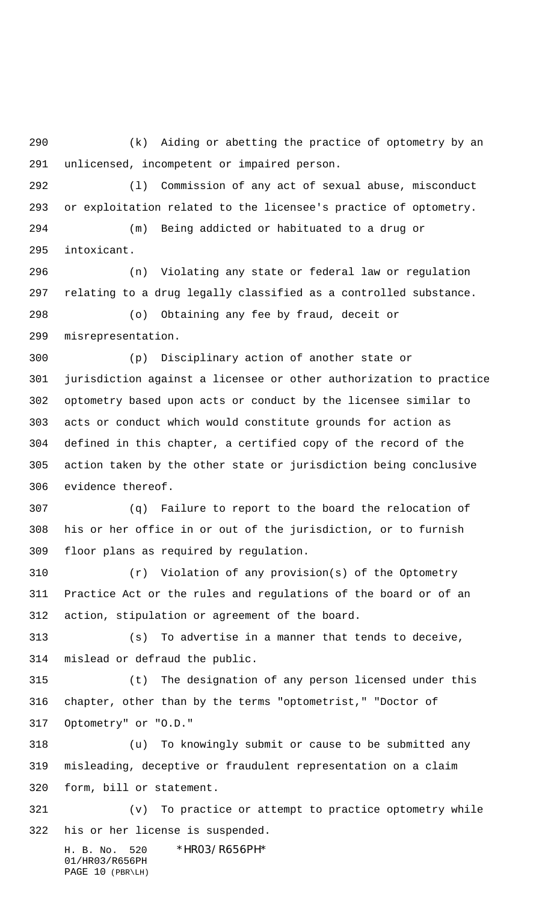(k) Aiding or abetting the practice of optometry by an unlicensed, incompetent or impaired person.

 (l) Commission of any act of sexual abuse, misconduct or exploitation related to the licensee's practice of optometry.

 (m) Being addicted or habituated to a drug or intoxicant.

 (n) Violating any state or federal law or regulation relating to a drug legally classified as a controlled substance. (o) Obtaining any fee by fraud, deceit or misrepresentation.

 (p) Disciplinary action of another state or jurisdiction against a licensee or other authorization to practice optometry based upon acts or conduct by the licensee similar to acts or conduct which would constitute grounds for action as defined in this chapter, a certified copy of the record of the action taken by the other state or jurisdiction being conclusive evidence thereof.

 (q) Failure to report to the board the relocation of his or her office in or out of the jurisdiction, or to furnish floor plans as required by regulation.

 (r) Violation of any provision(s) of the Optometry Practice Act or the rules and regulations of the board or of an action, stipulation or agreement of the board.

 (s) To advertise in a manner that tends to deceive, mislead or defraud the public.

 (t) The designation of any person licensed under this chapter, other than by the terms "optometrist," "Doctor of Optometry" or "O.D."

 (u) To knowingly submit or cause to be submitted any misleading, deceptive or fraudulent representation on a claim form, bill or statement.

 (v) To practice or attempt to practice optometry while his or her license is suspended.

H. B. No. 520 \*HR03/R656PH\* 01/HR03/R656PH PAGE 10 (PBR\LH)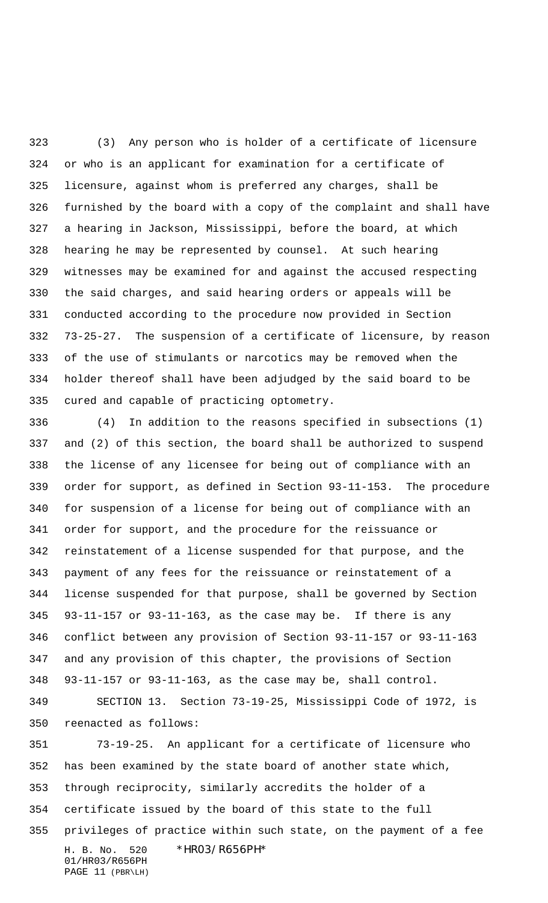(3) Any person who is holder of a certificate of licensure or who is an applicant for examination for a certificate of licensure, against whom is preferred any charges, shall be furnished by the board with a copy of the complaint and shall have a hearing in Jackson, Mississippi, before the board, at which hearing he may be represented by counsel. At such hearing witnesses may be examined for and against the accused respecting the said charges, and said hearing orders or appeals will be conducted according to the procedure now provided in Section 73-25-27. The suspension of a certificate of licensure, by reason of the use of stimulants or narcotics may be removed when the holder thereof shall have been adjudged by the said board to be cured and capable of practicing optometry.

 (4) In addition to the reasons specified in subsections (1) and (2) of this section, the board shall be authorized to suspend the license of any licensee for being out of compliance with an order for support, as defined in Section 93-11-153. The procedure for suspension of a license for being out of compliance with an order for support, and the procedure for the reissuance or reinstatement of a license suspended for that purpose, and the payment of any fees for the reissuance or reinstatement of a license suspended for that purpose, shall be governed by Section 93-11-157 or 93-11-163, as the case may be. If there is any conflict between any provision of Section 93-11-157 or 93-11-163 and any provision of this chapter, the provisions of Section 93-11-157 or 93-11-163, as the case may be, shall control.

 SECTION 13. Section 73-19-25, Mississippi Code of 1972, is reenacted as follows:

H. B. No. 520 \*HR03/R656PH\* 01/HR03/R656PH PAGE 11 (PBR\LH) 73-19-25. An applicant for a certificate of licensure who has been examined by the state board of another state which, through reciprocity, similarly accredits the holder of a certificate issued by the board of this state to the full privileges of practice within such state, on the payment of a fee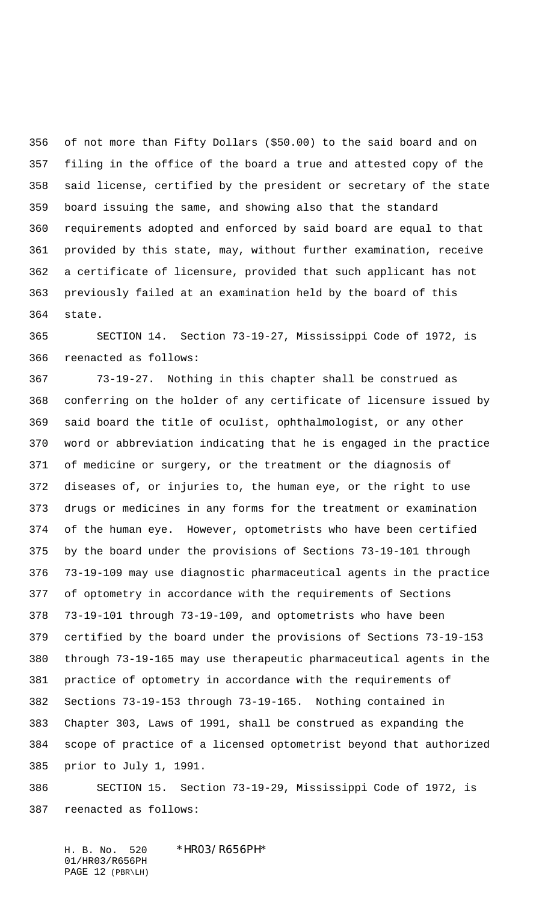of not more than Fifty Dollars (\$50.00) to the said board and on filing in the office of the board a true and attested copy of the said license, certified by the president or secretary of the state board issuing the same, and showing also that the standard requirements adopted and enforced by said board are equal to that provided by this state, may, without further examination, receive a certificate of licensure, provided that such applicant has not previously failed at an examination held by the board of this state.

 SECTION 14. Section 73-19-27, Mississippi Code of 1972, is reenacted as follows:

 73-19-27. Nothing in this chapter shall be construed as conferring on the holder of any certificate of licensure issued by said board the title of oculist, ophthalmologist, or any other word or abbreviation indicating that he is engaged in the practice of medicine or surgery, or the treatment or the diagnosis of diseases of, or injuries to, the human eye, or the right to use drugs or medicines in any forms for the treatment or examination of the human eye. However, optometrists who have been certified by the board under the provisions of Sections 73-19-101 through 73-19-109 may use diagnostic pharmaceutical agents in the practice of optometry in accordance with the requirements of Sections 73-19-101 through 73-19-109, and optometrists who have been certified by the board under the provisions of Sections 73-19-153 through 73-19-165 may use therapeutic pharmaceutical agents in the practice of optometry in accordance with the requirements of Sections 73-19-153 through 73-19-165. Nothing contained in Chapter 303, Laws of 1991, shall be construed as expanding the scope of practice of a licensed optometrist beyond that authorized prior to July 1, 1991.

 SECTION 15. Section 73-19-29, Mississippi Code of 1972, is reenacted as follows:

H. B. No. 520 \*HR03/R656PH\* 01/HR03/R656PH PAGE 12 (PBR\LH)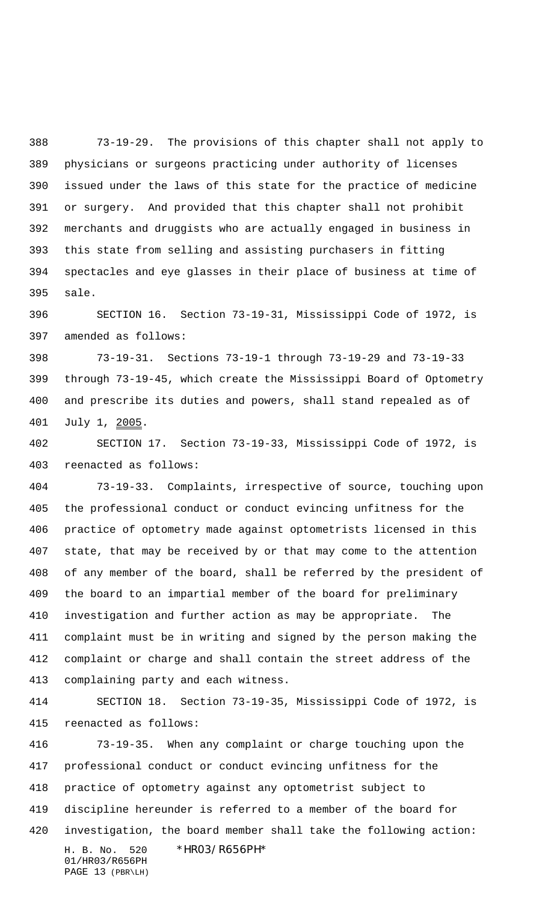73-19-29. The provisions of this chapter shall not apply to physicians or surgeons practicing under authority of licenses issued under the laws of this state for the practice of medicine or surgery. And provided that this chapter shall not prohibit merchants and druggists who are actually engaged in business in this state from selling and assisting purchasers in fitting spectacles and eye glasses in their place of business at time of sale.

 SECTION 16. Section 73-19-31, Mississippi Code of 1972, is amended as follows:

 73-19-31. Sections 73-19-1 through 73-19-29 and 73-19-33 through 73-19-45, which create the Mississippi Board of Optometry and prescribe its duties and powers, shall stand repealed as of July 1, 2005.

 SECTION 17. Section 73-19-33, Mississippi Code of 1972, is reenacted as follows:

 73-19-33. Complaints, irrespective of source, touching upon the professional conduct or conduct evincing unfitness for the practice of optometry made against optometrists licensed in this state, that may be received by or that may come to the attention of any member of the board, shall be referred by the president of the board to an impartial member of the board for preliminary investigation and further action as may be appropriate. The complaint must be in writing and signed by the person making the complaint or charge and shall contain the street address of the complaining party and each witness.

 SECTION 18. Section 73-19-35, Mississippi Code of 1972, is reenacted as follows:

H. B. No. 520 \*HR03/R656PH\* 01/HR03/R656PH PAGE 13 (PBR\LH) 73-19-35. When any complaint or charge touching upon the professional conduct or conduct evincing unfitness for the practice of optometry against any optometrist subject to discipline hereunder is referred to a member of the board for investigation, the board member shall take the following action: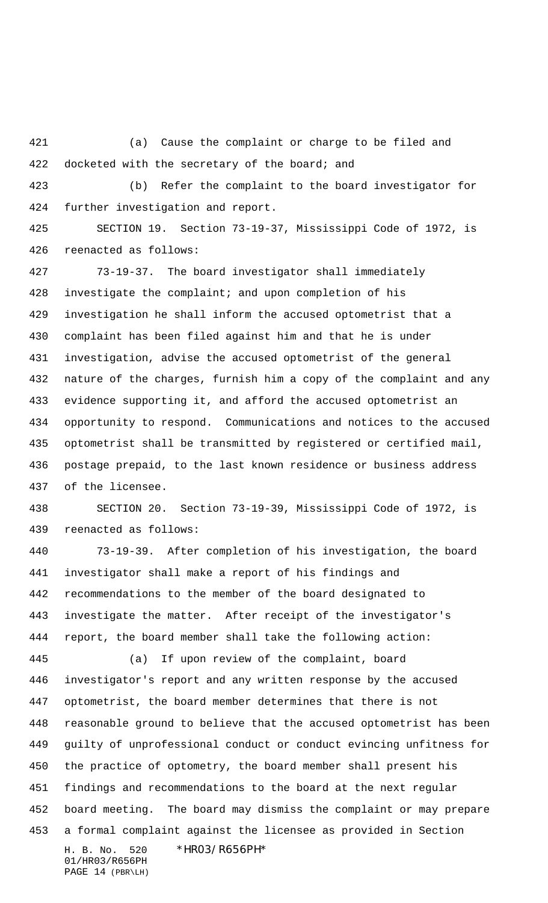(a) Cause the complaint or charge to be filed and 422 docketed with the secretary of the board; and

 (b) Refer the complaint to the board investigator for further investigation and report.

 SECTION 19. Section 73-19-37, Mississippi Code of 1972, is reenacted as follows:

 73-19-37. The board investigator shall immediately investigate the complaint; and upon completion of his investigation he shall inform the accused optometrist that a complaint has been filed against him and that he is under investigation, advise the accused optometrist of the general nature of the charges, furnish him a copy of the complaint and any evidence supporting it, and afford the accused optometrist an opportunity to respond. Communications and notices to the accused optometrist shall be transmitted by registered or certified mail, postage prepaid, to the last known residence or business address of the licensee.

 SECTION 20. Section 73-19-39, Mississippi Code of 1972, is reenacted as follows:

 73-19-39. After completion of his investigation, the board investigator shall make a report of his findings and recommendations to the member of the board designated to investigate the matter. After receipt of the investigator's report, the board member shall take the following action:

H. B. No. 520 \*HR03/R656PH\* 01/HR03/R656PH (a) If upon review of the complaint, board investigator's report and any written response by the accused optometrist, the board member determines that there is not reasonable ground to believe that the accused optometrist has been guilty of unprofessional conduct or conduct evincing unfitness for the practice of optometry, the board member shall present his findings and recommendations to the board at the next regular board meeting. The board may dismiss the complaint or may prepare a formal complaint against the licensee as provided in Section

PAGE 14 (PBR\LH)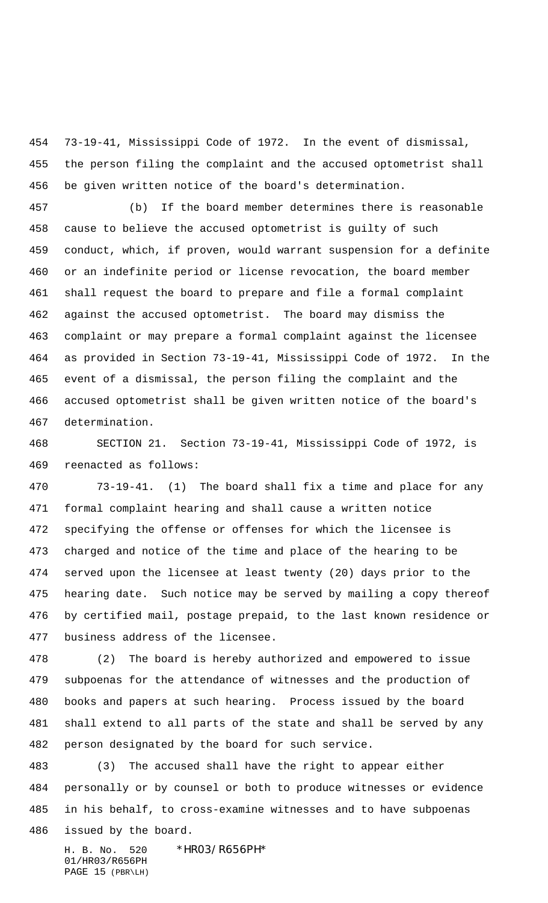73-19-41, Mississippi Code of 1972. In the event of dismissal, the person filing the complaint and the accused optometrist shall be given written notice of the board's determination.

 (b) If the board member determines there is reasonable cause to believe the accused optometrist is guilty of such conduct, which, if proven, would warrant suspension for a definite or an indefinite period or license revocation, the board member shall request the board to prepare and file a formal complaint against the accused optometrist. The board may dismiss the complaint or may prepare a formal complaint against the licensee as provided in Section 73-19-41, Mississippi Code of 1972. In the event of a dismissal, the person filing the complaint and the accused optometrist shall be given written notice of the board's determination.

 SECTION 21. Section 73-19-41, Mississippi Code of 1972, is reenacted as follows:

 73-19-41. (1) The board shall fix a time and place for any formal complaint hearing and shall cause a written notice specifying the offense or offenses for which the licensee is charged and notice of the time and place of the hearing to be served upon the licensee at least twenty (20) days prior to the hearing date. Such notice may be served by mailing a copy thereof by certified mail, postage prepaid, to the last known residence or business address of the licensee.

 (2) The board is hereby authorized and empowered to issue subpoenas for the attendance of witnesses and the production of books and papers at such hearing. Process issued by the board shall extend to all parts of the state and shall be served by any person designated by the board for such service.

 (3) The accused shall have the right to appear either personally or by counsel or both to produce witnesses or evidence in his behalf, to cross-examine witnesses and to have subpoenas issued by the board.

H. B. No. 520 \*HR03/R656PH\* 01/HR03/R656PH PAGE 15 (PBR\LH)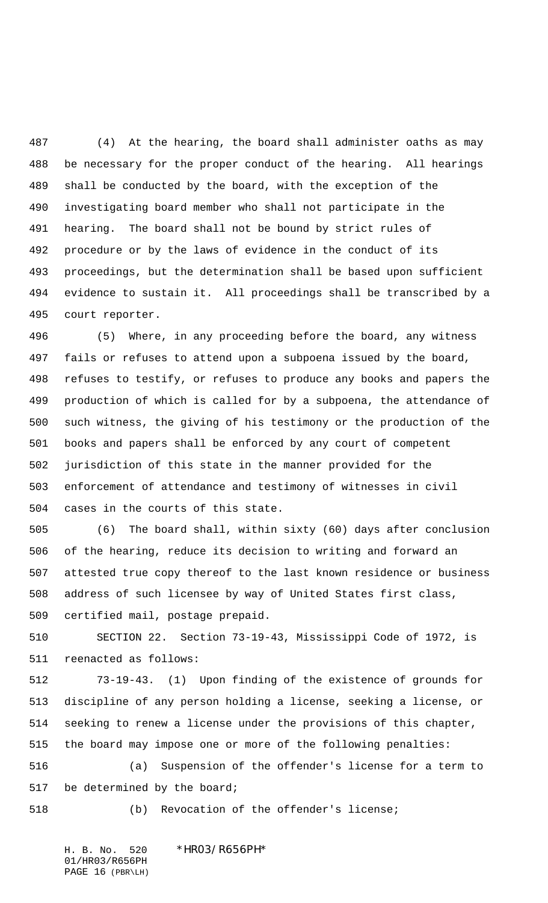(4) At the hearing, the board shall administer oaths as may be necessary for the proper conduct of the hearing. All hearings shall be conducted by the board, with the exception of the investigating board member who shall not participate in the hearing. The board shall not be bound by strict rules of procedure or by the laws of evidence in the conduct of its proceedings, but the determination shall be based upon sufficient evidence to sustain it. All proceedings shall be transcribed by a court reporter.

 (5) Where, in any proceeding before the board, any witness fails or refuses to attend upon a subpoena issued by the board, refuses to testify, or refuses to produce any books and papers the production of which is called for by a subpoena, the attendance of such witness, the giving of his testimony or the production of the books and papers shall be enforced by any court of competent jurisdiction of this state in the manner provided for the enforcement of attendance and testimony of witnesses in civil cases in the courts of this state.

 (6) The board shall, within sixty (60) days after conclusion of the hearing, reduce its decision to writing and forward an attested true copy thereof to the last known residence or business address of such licensee by way of United States first class, certified mail, postage prepaid.

 SECTION 22. Section 73-19-43, Mississippi Code of 1972, is reenacted as follows:

 73-19-43. (1) Upon finding of the existence of grounds for discipline of any person holding a license, seeking a license, or seeking to renew a license under the provisions of this chapter, the board may impose one or more of the following penalties: (a) Suspension of the offender's license for a term to be determined by the board;

(b) Revocation of the offender's license;

H. B. No. 520 \*HR03/R656PH\* 01/HR03/R656PH PAGE 16 (PBR\LH)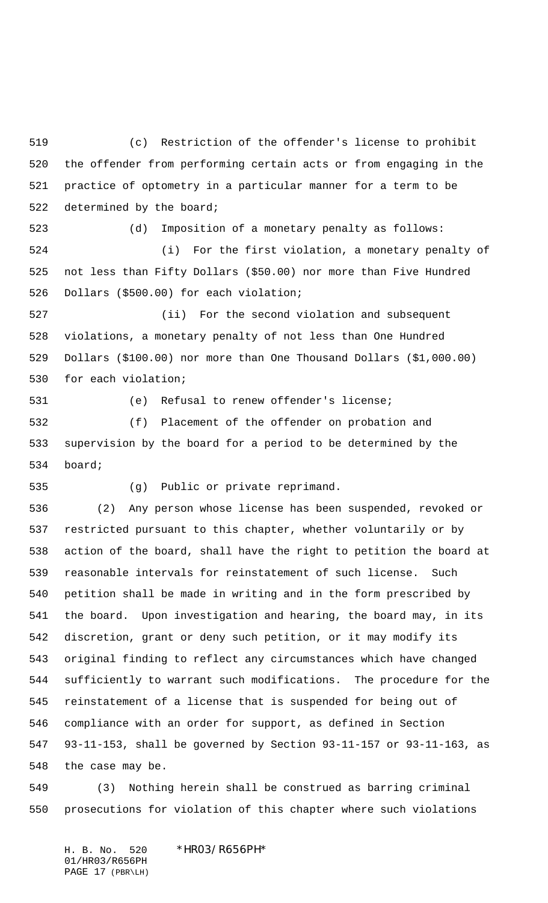(c) Restriction of the offender's license to prohibit the offender from performing certain acts or from engaging in the practice of optometry in a particular manner for a term to be determined by the board;

 (d) Imposition of a monetary penalty as follows: (i) For the first violation, a monetary penalty of not less than Fifty Dollars (\$50.00) nor more than Five Hundred Dollars (\$500.00) for each violation;

 (ii) For the second violation and subsequent violations, a monetary penalty of not less than One Hundred Dollars (\$100.00) nor more than One Thousand Dollars (\$1,000.00) for each violation;

(e) Refusal to renew offender's license;

 (f) Placement of the offender on probation and supervision by the board for a period to be determined by the board;

(g) Public or private reprimand.

 (2) Any person whose license has been suspended, revoked or restricted pursuant to this chapter, whether voluntarily or by action of the board, shall have the right to petition the board at reasonable intervals for reinstatement of such license. Such petition shall be made in writing and in the form prescribed by the board. Upon investigation and hearing, the board may, in its discretion, grant or deny such petition, or it may modify its original finding to reflect any circumstances which have changed sufficiently to warrant such modifications. The procedure for the reinstatement of a license that is suspended for being out of compliance with an order for support, as defined in Section 93-11-153, shall be governed by Section 93-11-157 or 93-11-163, as the case may be.

 (3) Nothing herein shall be construed as barring criminal prosecutions for violation of this chapter where such violations

H. B. No. 520 \*HR03/R656PH\* 01/HR03/R656PH PAGE 17 (PBR\LH)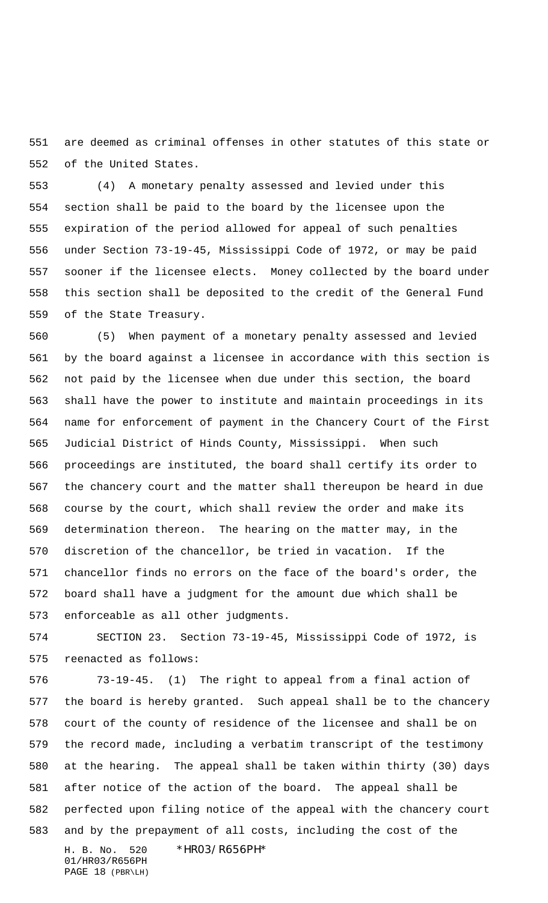are deemed as criminal offenses in other statutes of this state or of the United States.

 (4) A monetary penalty assessed and levied under this section shall be paid to the board by the licensee upon the expiration of the period allowed for appeal of such penalties under Section 73-19-45, Mississippi Code of 1972, or may be paid sooner if the licensee elects. Money collected by the board under this section shall be deposited to the credit of the General Fund of the State Treasury.

 (5) When payment of a monetary penalty assessed and levied by the board against a licensee in accordance with this section is not paid by the licensee when due under this section, the board shall have the power to institute and maintain proceedings in its name for enforcement of payment in the Chancery Court of the First Judicial District of Hinds County, Mississippi. When such proceedings are instituted, the board shall certify its order to the chancery court and the matter shall thereupon be heard in due course by the court, which shall review the order and make its determination thereon. The hearing on the matter may, in the discretion of the chancellor, be tried in vacation. If the chancellor finds no errors on the face of the board's order, the board shall have a judgment for the amount due which shall be enforceable as all other judgments.

 SECTION 23. Section 73-19-45, Mississippi Code of 1972, is reenacted as follows:

H. B. No. 520 \*HR03/R656PH\* 73-19-45. (1) The right to appeal from a final action of the board is hereby granted. Such appeal shall be to the chancery court of the county of residence of the licensee and shall be on the record made, including a verbatim transcript of the testimony at the hearing. The appeal shall be taken within thirty (30) days after notice of the action of the board. The appeal shall be perfected upon filing notice of the appeal with the chancery court and by the prepayment of all costs, including the cost of the

01/HR03/R656PH PAGE 18 (PBR\LH)